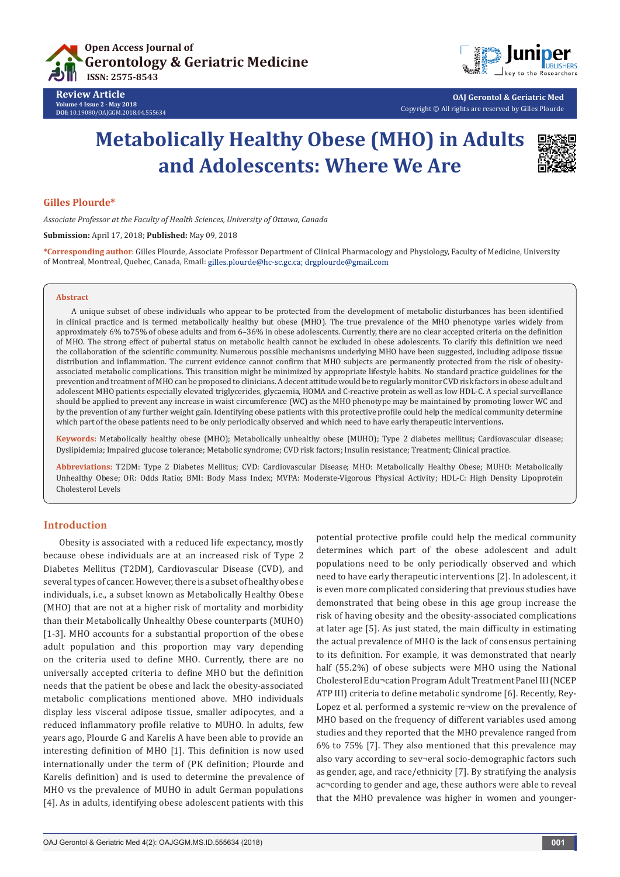



**OAJ Gerontol & Geriatric Med** Copyright © All rights are reserved by Gilles Plourde

# **Metabolically Healthy Obese (MHO) in Adults and Adolescents: Where We Are**



# **Gilles Plourde\***

**Review Article Volume 4 Issue 2 - May 2018 DOI:** [10.19080/OAJGGM.2018.04.555634](http://dx.doi.org/10.19080/OAJGGM.2018.04.555634)

*Associate Professor at the Faculty of Health Sciences, University of Ottawa, Canada*

**Submission:** April 17, 2018; **Published:** May 09, 2018

**\*Corresponding author**: Gilles Plourde, Associate Professor Department of Clinical Pharmacology and Physiology, Faculty of Medicine, University of Montreal, Montreal, Quebec, Canada, Email:

#### **Abstract**

A unique subset of obese individuals who appear to be protected from the development of metabolic disturbances has been identified in clinical practice and is termed metabolically healthy but obese (MHO). The true prevalence of the MHO phenotype varies widely from approximately 6% to75% of obese adults and from 6–36% in obese adolescents. Currently, there are no clear accepted criteria on the definition of MHO. The strong effect of pubertal status on metabolic health cannot be excluded in obese adolescents. To clarify this definition we need the collaboration of the scientific community. Numerous possible mechanisms underlying MHO have been suggested, including adipose tissue distribution and inflammation. The current evidence cannot confirm that MHO subjects are permanently protected from the risk of obesityassociated metabolic complications. This transition might be minimized by appropriate lifestyle habits. No standard practice guidelines for the prevention and treatment of MHO can be proposed to clinicians. A decent attitude would be to regularly monitor CVD risk factors in obese adult and adolescent MHO patients especially elevated triglycerides, glycaemia, HOMA and C-reactive protein as well as low HDL-C. A special surveillance should be applied to prevent any increase in waist circumference (WC) as the MHO phenotype may be maintained by promoting lower WC and by the prevention of any further weight gain. Identifying obese patients with this protective profile could help the medical community determine which part of the obese patients need to be only periodically observed and which need to have early therapeutic interventions**.**

**Keywords:** Metabolically healthy obese (MHO); Metabolically unhealthy obese (MUHO); Type 2 diabetes mellitus; Cardiovascular disease; Dyslipidemia; Impaired glucose tolerance; Metabolic syndrome; CVD risk factors; Insulin resistance; Treatment; Clinical practice.

**Abbreviations:** T2DM: Type 2 Diabetes Mellitus; CVD: Cardiovascular Disease; MHO: Metabolically Healthy Obese; MUHO: Metabolically Unhealthy Obese; OR: Odds Ratio; BMI: Body Mass Index; MVPA: Moderate-Vigorous Physical Activity; HDL-C: High Density Lipoprotein Cholesterol Levels

# **Introduction**

Obesity is associated with a reduced life expectancy, mostly because obese individuals are at an increased risk of Type 2 Diabetes Mellitus (T2DM), Cardiovascular Disease (CVD), and several types of cancer. However, there is a subset of healthy obese individuals, i.e., a subset known as Metabolically Healthy Obese (MHO) that are not at a higher risk of mortality and morbidity than their Metabolically Unhealthy Obese counterparts (MUHO) [1-3]. MHO accounts for a substantial proportion of the obese adult population and this proportion may vary depending on the criteria used to define MHO. Currently, there are no universally accepted criteria to define MHO but the definition needs that the patient be obese and lack the obesity-associated metabolic complications mentioned above. MHO individuals display less visceral adipose tissue, smaller adipocytes, and a reduced inflammatory profile relative to MUHO. In adults, few years ago, Plourde G and Karelis A have been able to provide an interesting definition of MHO [1]. This definition is now used internationally under the term of (PK definition; Plourde and Karelis definition) and is used to determine the prevalence of MHO vs the prevalence of MUHO in adult German populations [4]. As in adults, identifying obese adolescent patients with this potential protective profile could help the medical community determines which part of the obese adolescent and adult populations need to be only periodically observed and which need to have early therapeutic interventions [2]. In adolescent, it is even more complicated considering that previous studies have demonstrated that being obese in this age group increase the risk of having obesity and the obesity-associated complications at later age [5]. As just stated, the main difficulty in estimating the actual prevalence of MHO is the lack of consensus pertaining to its definition. For example, it was demonstrated that nearly half (55.2%) of obese subjects were MHO using the National Cholesterol Edu¬cation Program Adult Treatment Panel III (NCEP ATP III) criteria to define metabolic syndrome [6]. Recently, Rey-Lopez et al. performed a systemic re¬view on the prevalence of MHO based on the frequency of different variables used among studies and they reported that the MHO prevalence ranged from 6% to 75% [7]. They also mentioned that this prevalence may also vary according to sev¬eral socio-demographic factors such as gender, age, and race/ethnicity [7]. By stratifying the analysis ac¬cording to gender and age, these authors were able to reveal that the MHO prevalence was higher in women and younger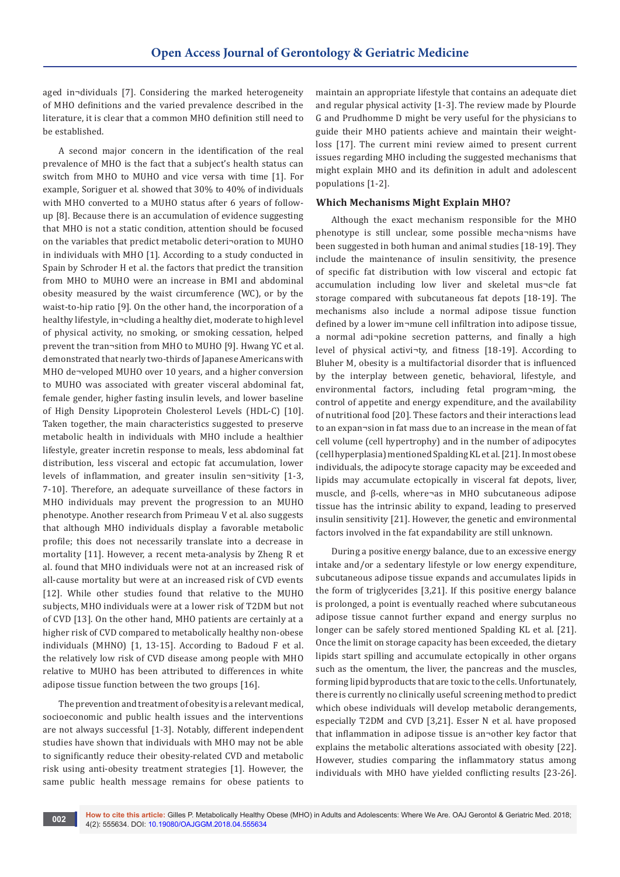aged in¬dividuals [7]. Considering the marked heterogeneity of MHO definitions and the varied prevalence described in the literature, it is clear that a common MHO definition still need to be established.

A second major concern in the identification of the real prevalence of MHO is the fact that a subject's health status can switch from MHO to MUHO and vice versa with time [1]. For example, Soriguer et al. showed that 30% to 40% of individuals with MHO converted to a MUHO status after 6 years of followup [8]. Because there is an accumulation of evidence suggesting that MHO is not a static condition, attention should be focused on the variables that predict metabolic deteri¬oration to MUHO in individuals with MHO [1]. According to a study conducted in Spain by Schroder H et al. the factors that predict the transition from MHO to MUHO were an increase in BMI and abdominal obesity measured by the waist circumference (WC), or by the waist-to-hip ratio [9]. On the other hand, the incorporation of a healthy lifestyle, in¬cluding a healthy diet, moderate to high level of physical activity, no smoking, or smoking cessation, helped prevent the tran¬sition from MHO to MUHO [9]. Hwang YC et al. demonstrated that nearly two-thirds of Japanese Americans with MHO de¬veloped MUHO over 10 years, and a higher conversion to MUHO was associated with greater visceral abdominal fat, female gender, higher fasting insulin levels, and lower baseline of High Density Lipoprotein Cholesterol Levels (HDL-C) [10]. Taken together, the main characteristics suggested to preserve metabolic health in individuals with MHO include a healthier lifestyle, greater incretin response to meals, less abdominal fat distribution, less visceral and ectopic fat accumulation, lower levels of inflammation, and greater insulin sen¬sitivity [1-3, 7-10]. Therefore, an adequate surveillance of these factors in MHO individuals may prevent the progression to an MUHO phenotype. Another research from Primeau V et al. also suggests that although MHO individuals display a favorable metabolic profile; this does not necessarily translate into a decrease in mortality [11]. However, a recent meta-analysis by Zheng R et al. found that MHO individuals were not at an increased risk of all-cause mortality but were at an increased risk of CVD events [12]. While other studies found that relative to the MUHO subjects, MHO individuals were at a lower risk of T2DM but not of CVD [13]. On the other hand, MHO patients are certainly at a higher risk of CVD compared to metabolically healthy non-obese individuals (MHNO) [1, 13-15]. According to Badoud F et al. the relatively low risk of CVD disease among people with MHO relative to MUHO has been attributed to differences in white adipose tissue function between the two groups [16].

The prevention and treatment of obesity is a relevant medical, socioeconomic and public health issues and the interventions are not always successful [1-3]. Notably, different independent studies have shown that individuals with MHO may not be able to significantly reduce their obesity-related CVD and metabolic risk using anti-obesity treatment strategies [1]. However, the same public health message remains for obese patients to

maintain an appropriate lifestyle that contains an adequate diet and regular physical activity [1-3]. The review made by Plourde G and Prudhomme D might be very useful for the physicians to guide their MHO patients achieve and maintain their weightloss [17]. The current mini review aimed to present current issues regarding MHO including the suggested mechanisms that might explain MHO and its definition in adult and adolescent populations [1-2].

# **Which Mechanisms Might Explain MHO?**

Although the exact mechanism responsible for the MHO phenotype is still unclear, some possible mecha¬nisms have been suggested in both human and animal studies [18-19]. They include the maintenance of insulin sensitivity, the presence of specific fat distribution with low visceral and ectopic fat accumulation including low liver and skeletal mus¬cle fat storage compared with subcutaneous fat depots [18-19]. The mechanisms also include a normal adipose tissue function defined by a lower im¬mune cell infiltration into adipose tissue, a normal adi¬pokine secretion patterns, and finally a high level of physical activi¬ty, and fitness [18-19]. According to Bluher M, obesity is a multifactorial disorder that is influenced by the interplay between genetic, behavioral, lifestyle, and environmental factors, including fetal program¬ming, the control of appetite and energy expenditure, and the availability of nutritional food [20]. These factors and their interactions lead to an expan¬sion in fat mass due to an increase in the mean of fat cell volume (cell hypertrophy) and in the number of adipocytes (cell hyperplasia) mentioned Spalding KL et al. [21]. In most obese individuals, the adipocyte storage capacity may be exceeded and lipids may accumulate ectopically in visceral fat depots, liver, muscle, and β-cells, where¬as in MHO subcutaneous adipose tissue has the intrinsic ability to expand, leading to preserved insulin sensitivity [21]. However, the genetic and environmental factors involved in the fat expandability are still unknown.

During a positive energy balance, due to an excessive energy intake and/or a sedentary lifestyle or low energy expenditure, subcutaneous adipose tissue expands and accumulates lipids in the form of triglycerides [3,21]. If this positive energy balance is prolonged, a point is eventually reached where subcutaneous adipose tissue cannot further expand and energy surplus no longer can be safely stored mentioned Spalding KL et al. [21]. Once the limit on storage capacity has been exceeded, the dietary lipids start spilling and accumulate ectopically in other organs such as the omentum, the liver, the pancreas and the muscles, forming lipid byproducts that are toxic to the cells. Unfortunately, there is currently no clinically useful screening method to predict which obese individuals will develop metabolic derangements, especially T2DM and CVD [3,21]. Esser N et al. have proposed that inflammation in adipose tissue is an¬other key factor that explains the metabolic alterations associated with obesity [22]. However, studies comparing the inflammatory status among individuals with MHO have yielded conflicting results [23-26].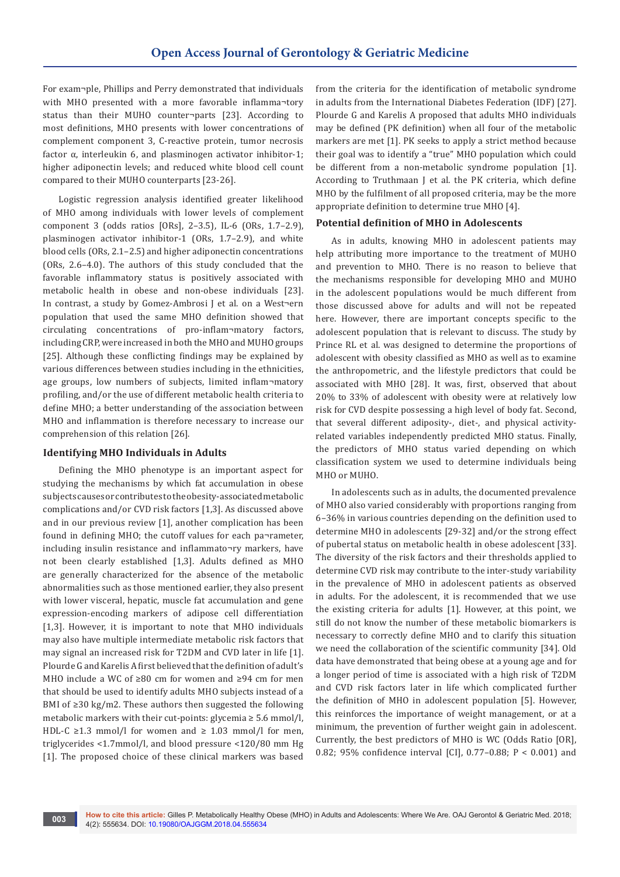For exam¬ple, Phillips and Perry demonstrated that individuals with MHO presented with a more favorable inflamma¬tory status than their MUHO counter¬parts [23]. According to most definitions, MHO presents with lower concentrations of complement component 3, C-reactive protein, tumor necrosis factor  $\alpha$ , interleukin 6, and plasminogen activator inhibitor-1; higher adiponectin levels; and reduced white blood cell count compared to their MUHO counterparts [23-26].

Logistic regression analysis identified greater likelihood of MHO among individuals with lower levels of complement component 3 (odds ratios [ORs], 2–3.5), IL-6 (ORs, 1.7–2.9), plasminogen activator inhibitor-1 (ORs, 1.7–2.9), and white blood cells (ORs, 2.1–2.5) and higher adiponectin concentrations (ORs, 2.6–4.0). The authors of this study concluded that the favorable inflammatory status is positively associated with metabolic health in obese and non-obese individuals [23]. In contrast, a study by Gomez-Ambrosi J et al. on a West¬ern population that used the same MHO definition showed that circulating concentrations of pro-inflam¬matory factors, including CRP, were increased in both the MHO and MUHO groups [25]. Although these conflicting findings may be explained by various differences between studies including in the ethnicities, age groups, low numbers of subjects, limited inflam¬matory profiling, and/or the use of different metabolic health criteria to define MHO; a better understanding of the association between MHO and inflammation is therefore necessary to increase our comprehension of this relation [26].

# **Identifying MHO Individuals in Adults**

Defining the MHO phenotype is an important aspect for studying the mechanisms by which fat accumulation in obese subjects causes or contributes to the obesity-associated metabolic complications and/or CVD risk factors [1,3]. As discussed above and in our previous review [1], another complication has been found in defining MHO; the cutoff values for each pa¬rameter, including insulin resistance and inflammato¬ry markers, have not been clearly established [1,3]. Adults defined as MHO are generally characterized for the absence of the metabolic abnormalities such as those mentioned earlier, they also present with lower visceral, hepatic, muscle fat accumulation and gene expression-encoding markers of adipose cell differentiation [1,3]. However, it is important to note that MHO individuals may also have multiple intermediate metabolic risk factors that may signal an increased risk for T2DM and CVD later in life [1]. Plourde G and Karelis A first believed that the definition of adult's MHO include a WC of ≥80 cm for women and ≥94 cm for men that should be used to identify adults MHO subjects instead of a BMI of ≥30 kg/m2. These authors then suggested the following metabolic markers with their cut-points: glycemia  $\geq 5.6$  mmol/l, HDL-C ≥1.3 mmol/l for women and ≥ 1.03 mmol/l for men, triglycerides <1.7mmol/l, and blood pressure <120/80 mm Hg [1]. The proposed choice of these clinical markers was based

from the criteria for the identification of metabolic syndrome in adults from the International Diabetes Federation (IDF) [27]. Plourde G and Karelis A proposed that adults MHO individuals may be defined (PK definition) when all four of the metabolic markers are met [1]. PK seeks to apply a strict method because their goal was to identify a "true" MHO population which could be different from a non-metabolic syndrome population [1]. According to Truthmaan J et al. the PK criteria, which define MHO by the fulfilment of all proposed criteria, may be the more appropriate definition to determine true MHO [4].

# **Potential definition of MHO in Adolescents**

As in adults, knowing MHO in adolescent patients may help attributing more importance to the treatment of MUHO and prevention to MHO. There is no reason to believe that the mechanisms responsible for developing MHO and MUHO in the adolescent populations would be much different from those discussed above for adults and will not be repeated here. However, there are important concepts specific to the adolescent population that is relevant to discuss. The study by Prince RL et al. was designed to determine the proportions of adolescent with obesity classified as MHO as well as to examine the anthropometric, and the lifestyle predictors that could be associated with MHO [28]. It was, first, observed that about 20% to 33% of adolescent with obesity were at relatively low risk for CVD despite possessing a high level of body fat. Second, that several different adiposity-, diet-, and physical activityrelated variables independently predicted MHO status. Finally, the predictors of MHO status varied depending on which classification system we used to determine individuals being MHO or MUHO.

In adolescents such as in adults, the documented prevalence of MHO also varied considerably with proportions ranging from 6–36% in various countries depending on the definition used to determine MHO in adolescents [29-32] and/or the strong effect of pubertal status on metabolic health in obese adolescent [33]. The diversity of the risk factors and their thresholds applied to determine CVD risk may contribute to the inter-study variability in the prevalence of MHO in adolescent patients as observed in adults. For the adolescent, it is recommended that we use the existing criteria for adults [1]. However, at this point, we still do not know the number of these metabolic biomarkers is necessary to correctly define MHO and to clarify this situation we need the collaboration of the scientific community [34]. Old data have demonstrated that being obese at a young age and for a longer period of time is associated with a high risk of T2DM and CVD risk factors later in life which complicated further the definition of MHO in adolescent population [5]. However, this reinforces the importance of weight management, or at a minimum, the prevention of further weight gain in adolescent. Currently, the best predictors of MHO is WC (Odds Ratio [OR], 0.82; 95% confidence interval [CI], 0.77–0.88; P < 0.001) and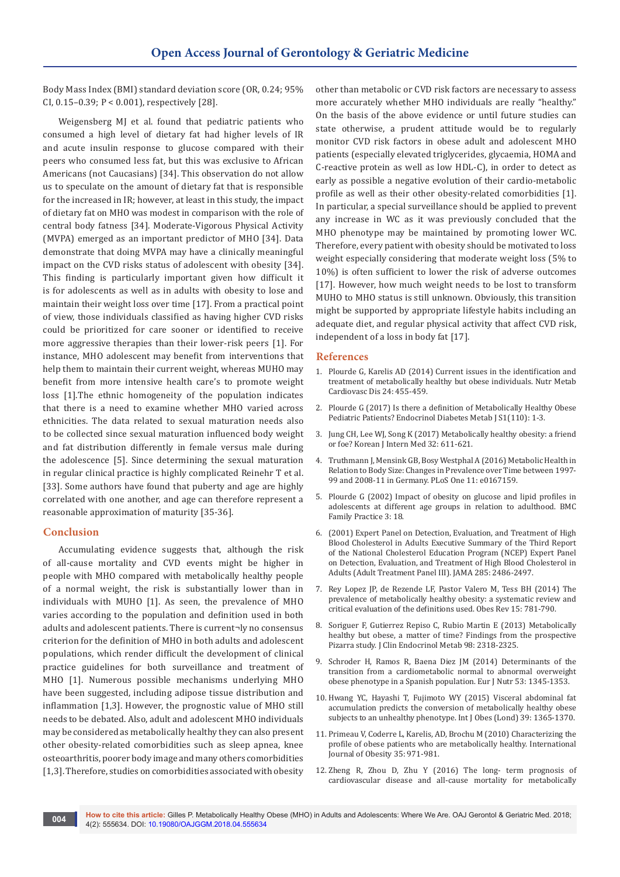Body Mass Index (BMI) standard deviation score (OR, 0.24; 95% CI, 0.15–0.39; P < 0.001), respectively [28].

Weigensberg MJ et al. found that pediatric patients who consumed a high level of dietary fat had higher levels of IR and acute insulin response to glucose compared with their peers who consumed less fat, but this was exclusive to African Americans (not Caucasians) [34]. This observation do not allow us to speculate on the amount of dietary fat that is responsible for the increased in IR; however, at least in this study, the impact of dietary fat on MHO was modest in comparison with the role of central body fatness [34]. Moderate-Vigorous Physical Activity (MVPA) emerged as an important predictor of MHO [34]. Data demonstrate that doing MVPA may have a clinically meaningful impact on the CVD risks status of adolescent with obesity [34]. This finding is particularly important given how difficult it is for adolescents as well as in adults with obesity to lose and maintain their weight loss over time [17]. From a practical point of view, those individuals classified as having higher CVD risks could be prioritized for care sooner or identified to receive more aggressive therapies than their lower-risk peers [1]. For instance, MHO adolescent may benefit from interventions that help them to maintain their current weight, whereas MUHO may benefit from more intensive health care's to promote weight loss [1].The ethnic homogeneity of the population indicates that there is a need to examine whether MHO varied across ethnicities. The data related to sexual maturation needs also to be collected since sexual maturation influenced body weight and fat distribution differently in female versus male during the adolescence [5]. Since determining the sexual maturation in regular clinical practice is highly complicated Reinehr T et al. [33]. Some authors have found that puberty and age are highly correlated with one another, and age can therefore represent a reasonable approximation of maturity [35-36].

# **Conclusion**

Accumulating evidence suggests that, although the risk of all-cause mortality and CVD events might be higher in people with MHO compared with metabolically healthy people of a normal weight, the risk is substantially lower than in individuals with MUHO [1]. As seen, the prevalence of MHO varies according to the population and definition used in both adults and adolescent patients. There is current¬ly no consensus criterion for the definition of MHO in both adults and adolescent populations, which render difficult the development of clinical practice guidelines for both surveillance and treatment of MHO [1]. Numerous possible mechanisms underlying MHO have been suggested, including adipose tissue distribution and inflammation [1,3]. However, the prognostic value of MHO still needs to be debated. Also, adult and adolescent MHO individuals may be considered as metabolically healthy they can also present other obesity-related comorbidities such as sleep apnea, knee osteoarthritis, poorer body image and many others comorbidities [1,3]. Therefore, studies on comorbidities associated with obesity

other than metabolic or CVD risk factors are necessary to assess more accurately whether MHO individuals are really "healthy." On the basis of the above evidence or until future studies can state otherwise, a prudent attitude would be to regularly monitor CVD risk factors in obese adult and adolescent MHO patients (especially elevated triglycerides, glycaemia, HOMA and C-reactive protein as well as low HDL-C), in order to detect as early as possible a negative evolution of their cardio-metabolic profile as well as their other obesity-related comorbidities [1]. In particular, a special surveillance should be applied to prevent any increase in WC as it was previously concluded that the MHO phenotype may be maintained by promoting lower WC. Therefore, every patient with obesity should be motivated to loss weight especially considering that moderate weight loss (5% to 10%) is often sufficient to lower the risk of adverse outcomes [17]. However, how much weight needs to be lost to transform MUHO to MHO status is still unknown. Obviously, this transition might be supported by appropriate lifestyle habits including an adequate diet, and regular physical activity that affect CVD risk, independent of a loss in body fat [17].

#### **References**

- 1. [Plourde G, Karelis AD \(2014\) Current issues in the identification and](https://www.ncbi.nlm.nih.gov/pubmed/24529490)  [treatment of metabolically healthy but obese individuals. Nutr Metab](https://www.ncbi.nlm.nih.gov/pubmed/24529490)  [Cardiovasc Dis 24: 455-459.](https://www.ncbi.nlm.nih.gov/pubmed/24529490)
- 2. [Plourde G \(2017\) Is there a definition of Metabolically Healthy Obese](https://www.researchgate.net/publication/316793170_Is_there_a_definition_of_Metabolically_Healthy_Obese_Pediatric_Patients)  [Pediatric Patients? Endocrinol Diabetes Metab J S1\(110\): 1-3.](https://www.researchgate.net/publication/316793170_Is_there_a_definition_of_Metabolically_Healthy_Obese_Pediatric_Patients)
- 3. [Jung CH, Lee WJ, Song K \(2017\) Metabolically healthy obesity: a friend](https://www.ncbi.nlm.nih.gov/pubmed/28602062)  [or foe? Korean J Intern Med 32: 611-621.](https://www.ncbi.nlm.nih.gov/pubmed/28602062)
- 4. [Truthmann J, Mensink GB, Bosy Westphal A \(2016\) Metabolic Health in](https://www.ncbi.nlm.nih.gov/pubmed/27880828)  [Relation to Body Size: Changes in Prevalence over Time between 1997-](https://www.ncbi.nlm.nih.gov/pubmed/27880828) [99 and 2008-11 in Germany. PLoS One 11: e0167159.](https://www.ncbi.nlm.nih.gov/pubmed/27880828)
- 5. [Plourde G \(2002\) Impact of obesity on glucose and lipid profiles in](https://bmcfampract.biomedcentral.com/articles/10.1186/1471-2296-3-18)  [adolescents at different age groups in relation to adulthood. BMC](https://bmcfampract.biomedcentral.com/articles/10.1186/1471-2296-3-18)  [Family Practice 3: 18.](https://bmcfampract.biomedcentral.com/articles/10.1186/1471-2296-3-18)
- 6. (2001) Expert Panel on Detection, Evaluation, and Treatment of High Blood Cholesterol in Adults Executive Summary of the Third Report of the National Cholesterol Education Program (NCEP) Expert Panel on Detection, Evaluation, and Treatment of High Blood Cholesterol in Adults (Adult Treatment Panel III)*.* JAMA 285: 2486*-*2497.
- 7. [Rey Lopez JP, de Rezende LF, Pastor Valero M, Tess BH \(2014\) The](https://www.ncbi.nlm.nih.gov/pubmed/25040597)  [prevalence of metabolically healthy obesity: a systematic review and](https://www.ncbi.nlm.nih.gov/pubmed/25040597)  [critical evaluation of the definitions used. Obes Rev 15: 781-790.](https://www.ncbi.nlm.nih.gov/pubmed/25040597)
- 8. [Soriguer F, Gutierrez Repiso C, Rubio Martin E \(2013\)](https://www.ncbi.nlm.nih.gov/pubmed/23559087) Metabolically [healthy but obese, a matter of time? Findings from the prospective](https://www.ncbi.nlm.nih.gov/pubmed/23559087)  [Pizarra study. J Clin Endocrinol Metab 98: 2318-2325.](https://www.ncbi.nlm.nih.gov/pubmed/23559087)
- 9. [Schroder H, Ramos R, Baena Diez JM \(2014\)](https://www.ncbi.nlm.nih.gov/pubmed/24322835) Determinants of the [transition from a cardiometabolic normal to abnormal overweight](https://www.ncbi.nlm.nih.gov/pubmed/24322835)  [obese phenotype in a Spanish population. Eur J Nutr 53: 1345-1353.](https://www.ncbi.nlm.nih.gov/pubmed/24322835)
- 10. [Hwang YC, Hayashi T, Fujimoto WY \(2015\) Visceral abdominal fat](https://www.ncbi.nlm.nih.gov/pubmed/25920773)  [accumulation predicts the conversion of metabolically healthy obese](https://www.ncbi.nlm.nih.gov/pubmed/25920773)  [subjects to an unhealthy phenotype. Int J Obes \(Lond\) 39: 1365-1370.](https://www.ncbi.nlm.nih.gov/pubmed/25920773)
- 11. [Primeau V, Coderre L, Karelis, AD, Brochu M \(2010\) Characterizing the](https://www.ncbi.nlm.nih.gov/pubmed/20975726)  [profile of obese patients who are metabolically healthy. International](https://www.ncbi.nlm.nih.gov/pubmed/20975726)  [Journal of Obesity 35: 971-981.](https://www.ncbi.nlm.nih.gov/pubmed/20975726)
- 12. [Zheng R, Zhou D, Zhu Y \(2016\) The long- term prognosis of](https://www.ncbi.nlm.nih.gov/pubmed/27126492)  [cardiovascular disease and all-cause mortality for metabolically](https://www.ncbi.nlm.nih.gov/pubmed/27126492)